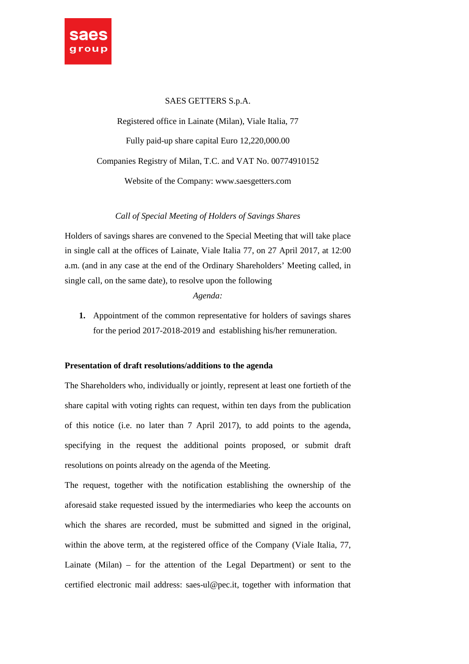

# SAES GETTERS S.p.A.

Registered office in Lainate (Milan), Viale Italia, 77 Fully paid-up share capital Euro 12,220,000.00 Companies Registry of Milan, T.C. and VAT No. 00774910152 Website of the Company: www.saesgetters.com

*Call of Special Meeting of Holders of Savings Shares* 

Holders of savings shares are convened to the Special Meeting that will take place in single call at the offices of Lainate, Viale Italia 77, on 27 April 2017, at 12:00 a.m. (and in any case at the end of the Ordinary Shareholders' Meeting called, in single call, on the same date), to resolve upon the following

### *Agenda:*

**1.** Appointment of the common representative for holders of savings shares for the period 2017-2018-2019 and establishing his/her remuneration.

### **Presentation of draft resolutions/additions to the agenda**

The Shareholders who, individually or jointly, represent at least one fortieth of the share capital with voting rights can request, within ten days from the publication of this notice (i.e. no later than 7 April 2017), to add points to the agenda, specifying in the request the additional points proposed, or submit draft resolutions on points already on the agenda of the Meeting.

The request, together with the notification establishing the ownership of the aforesaid stake requested issued by the intermediaries who keep the accounts on which the shares are recorded, must be submitted and signed in the original, within the above term, at the registered office of the Company (Viale Italia, 77, Lainate (Milan) – for the attention of the Legal Department) or sent to the certified electronic mail address: saes-ul@pec.it, together with information that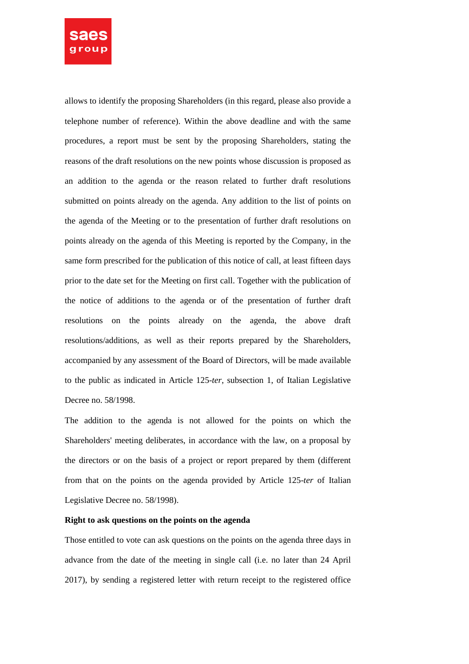

allows to identify the proposing Shareholders (in this regard, please also provide a telephone number of reference). Within the above deadline and with the same procedures, a report must be sent by the proposing Shareholders, stating the reasons of the draft resolutions on the new points whose discussion is proposed as an addition to the agenda or the reason related to further draft resolutions submitted on points already on the agenda. Any addition to the list of points on the agenda of the Meeting or to the presentation of further draft resolutions on points already on the agenda of this Meeting is reported by the Company, in the same form prescribed for the publication of this notice of call, at least fifteen days prior to the date set for the Meeting on first call. Together with the publication of the notice of additions to the agenda or of the presentation of further draft resolutions on the points already on the agenda, the above draft resolutions/additions, as well as their reports prepared by the Shareholders, accompanied by any assessment of the Board of Directors, will be made available to the public as indicated in Article 125-*ter*, subsection 1, of Italian Legislative Decree no. 58/1998.

The addition to the agenda is not allowed for the points on which the Shareholders' meeting deliberates, in accordance with the law, on a proposal by the directors or on the basis of a project or report prepared by them (different from that on the points on the agenda provided by Article 125-*ter* of Italian Legislative Decree no. 58/1998).

### **Right to ask questions on the points on the agenda**

Those entitled to vote can ask questions on the points on the agenda three days in advance from the date of the meeting in single call (i.e. no later than 24 April 2017), by sending a registered letter with return receipt to the registered office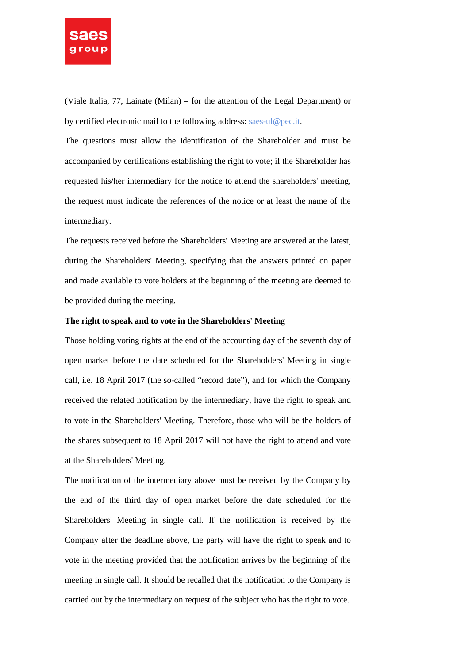

(Viale Italia, 77, Lainate (Milan) – for the attention of the Legal Department) or by certified electronic mail to the following address: saes-ul@pec.it.

The questions must allow the identification of the Shareholder and must be accompanied by certifications establishing the right to vote; if the Shareholder has requested his/her intermediary for the notice to attend the shareholders' meeting, the request must indicate the references of the notice or at least the name of the intermediary.

The requests received before the Shareholders' Meeting are answered at the latest, during the Shareholders' Meeting, specifying that the answers printed on paper and made available to vote holders at the beginning of the meeting are deemed to be provided during the meeting.

### **The right to speak and to vote in the Shareholders' Meeting**

Those holding voting rights at the end of the accounting day of the seventh day of open market before the date scheduled for the Shareholders' Meeting in single call, i.e. 18 April 2017 (the so-called "record date"), and for which the Company received the related notification by the intermediary, have the right to speak and to vote in the Shareholders' Meeting. Therefore, those who will be the holders of the shares subsequent to 18 April 2017 will not have the right to attend and vote at the Shareholders' Meeting.

The notification of the intermediary above must be received by the Company by the end of the third day of open market before the date scheduled for the Shareholders' Meeting in single call. If the notification is received by the Company after the deadline above, the party will have the right to speak and to vote in the meeting provided that the notification arrives by the beginning of the meeting in single call. It should be recalled that the notification to the Company is carried out by the intermediary on request of the subject who has the right to vote.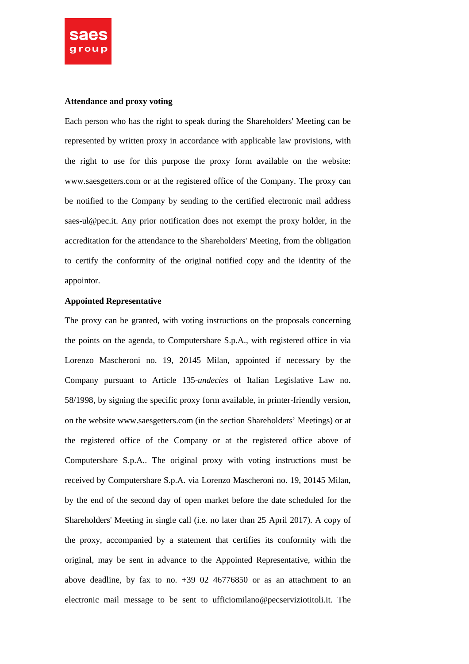

### **Attendance and proxy voting**

Each person who has the right to speak during the Shareholders' Meeting can be represented by written proxy in accordance with applicable law provisions, with the right to use for this purpose the proxy form available on the website: www.saesgetters.com or at the registered office of the Company. The proxy can be notified to the Company by sending to the certified electronic mail address saes-ul@pec.it. Any prior notification does not exempt the proxy holder, in the accreditation for the attendance to the Shareholders' Meeting, from the obligation to certify the conformity of the original notified copy and the identity of the appointor.

## **Appointed Representative**

The proxy can be granted, with voting instructions on the proposals concerning the points on the agenda, to Computershare S.p.A., with registered office in via Lorenzo Mascheroni no. 19, 20145 Milan, appointed if necessary by the Company pursuant to Article 135-*undecies* of Italian Legislative Law no. 58/1998, by signing the specific proxy form available, in printer-friendly version, on the website www.saesgetters.com (in the section Shareholders' Meetings) or at the registered office of the Company or at the registered office above of Computershare S.p.A.. The original proxy with voting instructions must be received by Computershare S.p.A. via Lorenzo Mascheroni no. 19, 20145 Milan, by the end of the second day of open market before the date scheduled for the Shareholders' Meeting in single call (i.e. no later than 25 April 2017). A copy of the proxy, accompanied by a statement that certifies its conformity with the original, may be sent in advance to the Appointed Representative, within the above deadline, by fax to no.  $+39$  02 46776850 or as an attachment to an electronic mail message to be sent to ufficiomilano@pecserviziotitoli.it. The